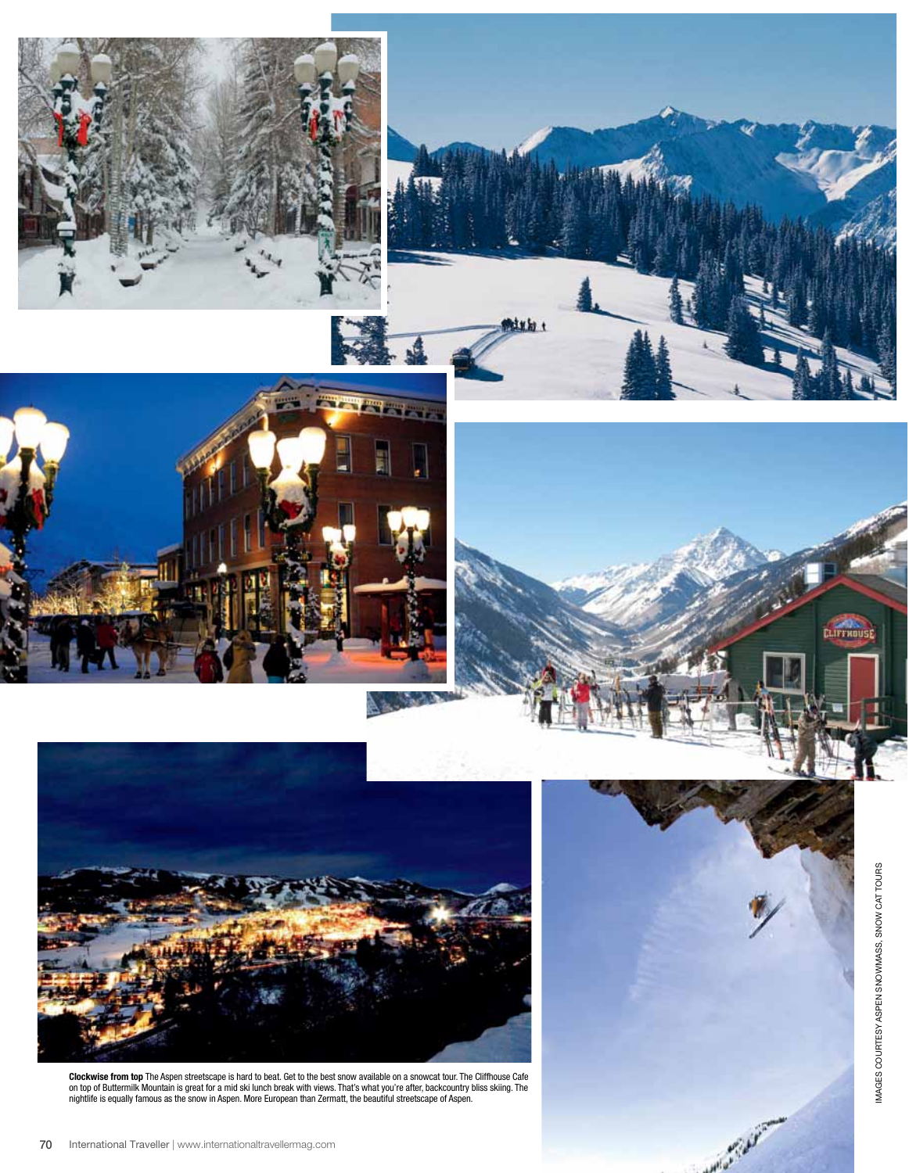









**Clockwise from top** The Aspen streetscape is hard to beat. Get to the best snow available on a snowcat tour. The Cliffhouse Cafe<br>on top of Buttermilk Mountain is great for a mid ski lunch break with views. That's what you nightlife is equally famous as the snow in Aspen. More European than Zermatt, the beautiful streetscape of Aspen.

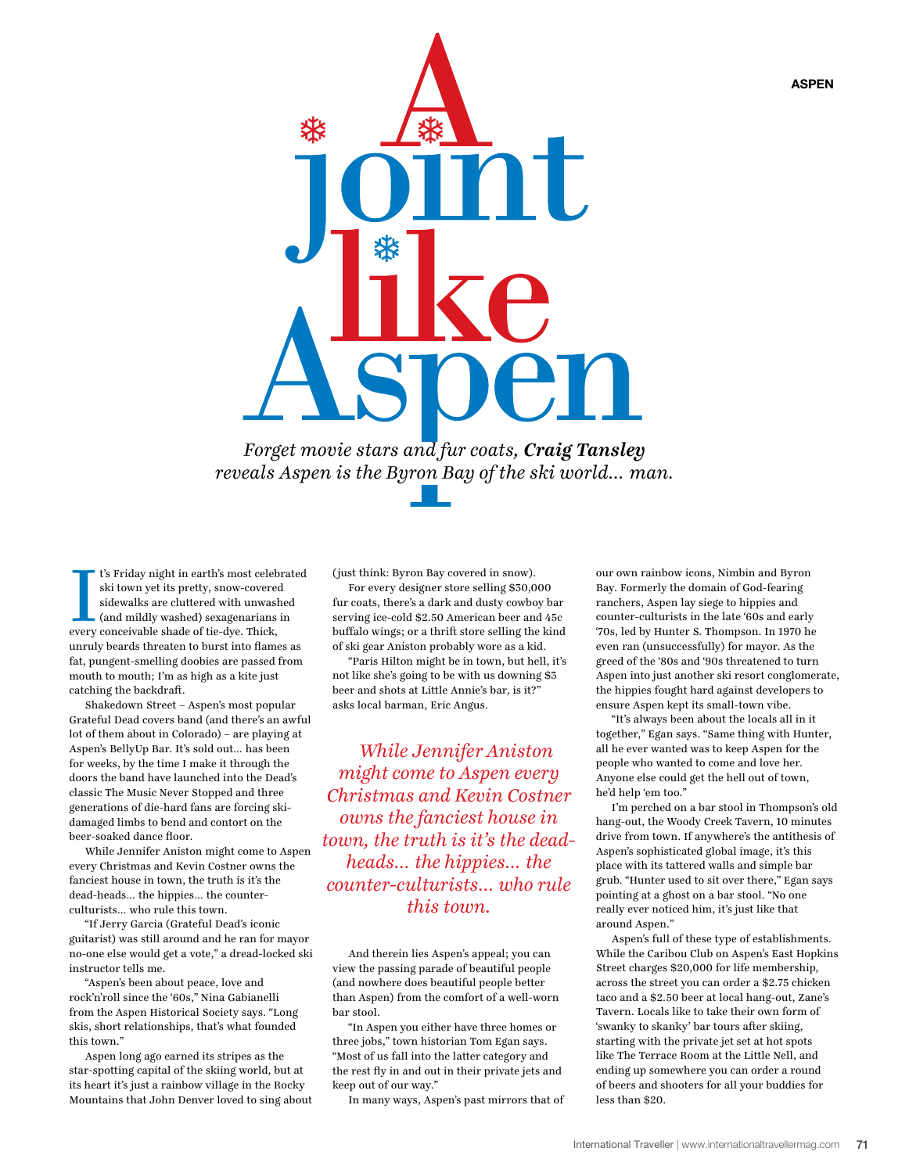

*Forget movie stars and fur coats, Craig Tansley reveals Aspen is the Byron Bay of the ski world… man.*

I's Friday night in earth's most celeb<br>ski town yet its pretty, snow-coveree<br>sidewalks are cluttered with unwash<br>(and mildly washed) sexagenarians<br>every conceivable shade of tie-dye. Thick, t's Friday night in earth's most celebrated ski town yet its pretty, snow-covered sidewalks are cluttered with unwashed (and mildly washed) sexagenarians in unruly beards threaten to burst into flames as fat, pungent-smelling doobies are passed from mouth to mouth; I'm as high as a kite just catching the backdraft.

Shakedown Street – Aspen's most popular Grateful Dead covers band (and there's an awful lot of them about in Colorado) – are playing at Aspen's BellyUp Bar. It's sold out… has been for weeks, by the time I make it through the doors the band have launched into the Dead's classic The Music Never Stopped and three generations of die-hard fans are forcing skidamaged limbs to bend and contort on the beer-soaked dance floor.

While Jennifer Aniston might come to Aspen every Christmas and Kevin Costner owns the fanciest house in town, the truth is it's the dead-heads… the hippies… the counterculturists… who rule this town.

"If Jerry Garcia (Grateful Dead's iconic guitarist) was still around and he ran for mayor no-one else would get a vote," a dread-locked ski instructor tells me.

"Aspen's been about peace, love and rock'n'roll since the '60s," Nina Gabianelli from the Aspen Historical Society says. "Long skis, short relationships, that's what founded this town."

Aspen long ago earned its stripes as the star-spotting capital of the skiing world, but at its heart it's just a rainbow village in the Rocky Mountains that John Denver loved to sing about (just think: Byron Bay covered in snow).

For every designer store selling \$30,000 fur coats, there's a dark and dusty cowboy bar serving ice-cold \$2.50 American beer and 45c buffalo wings; or a thrift store selling the kind of ski gear Aniston probably wore as a kid.

"Paris Hilton might be in town, but hell, it's not like she's going to be with us downing \$3 beer and shots at Little Annie's bar, is it?" asks local barman, Eric Angus.

*While Jennifer Aniston might come to Aspen every Christmas and Kevin Costner owns the fanciest house in town, the truth is it's the deadheads… the hippies… the counter-culturists… who rule this town.*

And therein lies Aspen's appeal; you can view the passing parade of beautiful people (and nowhere does beautiful people better than Aspen) from the comfort of a well-worn bar stool.

"In Aspen you either have three homes or three jobs," town historian Tom Egan says. "Most of us fall into the latter category and the rest fly in and out in their private jets and keep out of our way."

In many ways, Aspen's past mirrors that of

our own rainbow icons, Nimbin and Byron Bay. Formerly the domain of God-fearing ranchers, Aspen lay siege to hippies and counter-culturists in the late '60s and early '70s, led by Hunter S. Thompson. In 1970 he even ran (unsuccessfully) for mayor. As the greed of the '80s and '90s threatened to turn Aspen into just another ski resort conglomerate, the hippies fought hard against developers to ensure Aspen kept its small-town vibe.

"It's always been about the locals all in it together," Egan says. "Same thing with Hunter, all he ever wanted was to keep Aspen for the people who wanted to come and love her. Anyone else could get the hell out of town, he'd help 'em too."

I'm perched on a bar stool in Thompson's old hang-out, the Woody Creek Tavern, 10 minutes drive from town. If anywhere's the antithesis of Aspen's sophisticated global image, it's this place with its tattered walls and simple bar grub. "Hunter used to sit over there," Egan says pointing at a ghost on a bar stool. "No one really ever noticed him, it's just like that around Aspen."

Aspen's full of these type of establishments. While the Caribou Club on Aspen's East Hopkins Street charges \$20,000 for life membership, across the street you can order a \$2.75 chicken taco and a \$2.50 beer at local hang-out, Zane's Tavern. Locals like to take their own form of 'swanky to skanky' bar tours after skiing, starting with the private jet set at hot spots like The Terrace Room at the Little Nell, and ending up somewhere you can order a round of beers and shooters for all your buddies for less than \$20.

International Traveller | www.internationaltravellermag.com 71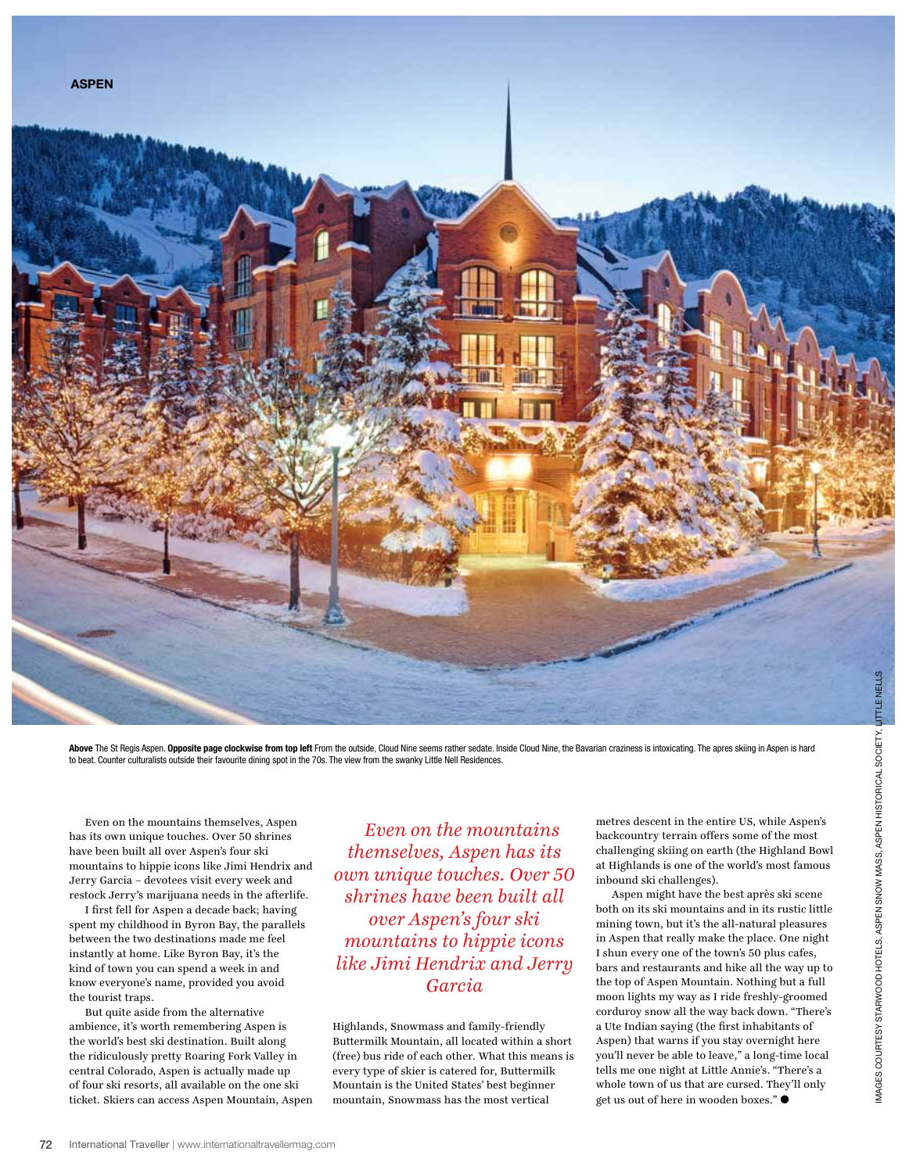

Above The St Regis Aspen. Opposite page clockwise from top left From the outside, Cloud Nine seems rather sedate. Inside Cloud Nine, the Bavarian craziness is intoxicating. The apres skiing in Aspen is hard to beat. Counter culturalists outside their favourite dining spot in the 70s. The view from the swanky Little Nell Residences.

Even on the mountains themselves, Aspen has its own unique touches. Over 50 shrines have been built all over Aspen's four ski mountains to hippie icons like Jimi Hendrix and Jerry Garcia – devotees visit every week and restock Jerry's marijuana needs in the afterlife.

I first fell for Aspen a decade back; having spent my childhood in Byron Bay, the parallels between the two destinations made me feel instantly at home. Like Byron Bay, it's the kind of town you can spend a week in and know everyone's name, provided you avoid the tourist traps.

But quite aside from the alternative ambience, it's worth remembering Aspen is the world's best ski destination. Built along the ridiculously pretty Roaring Fork Valley in central Colorado, Aspen is actually made up of four ski resorts, all available on the one ski ticket. Skiers can access Aspen Mountain, Aspen

*Even on the mountains themselves, Aspen has its own unique touches. Over 50 shrines have been built all over Aspen's four ski mountains to hippie icons like Jimi Hendrix and Jerry Garcia* 

Highlands, Snowmass and family-friendly Buttermilk Mountain, all located within a short (free) bus ride of each other. What this means is every type of skier is catered for, Buttermilk Mountain is the United States' best beginner mountain, Snowmass has the most vertical

metres descent in the entire US, while Aspen's backcountry terrain offers some of the most challenging skiing on earth (the Highland Bowl at Highlands is one of the world's most famous inbound ski challenges).

Aspen might have the best après ski scene both on its ski mountains and in its rustic little mining town, but it's the all-natural pleasures in Aspen that really make the place. One night I shun every one of the town's 50 plus cafes, bars and restaurants and hike all the way up to the top of Aspen Mountain. Nothing but a full moon lights my way as I ride freshly-groomed corduroy snow all the way back down. "There's a Ute Indian saying (the first inhabitants of Aspen) that warns if you stay overnight here you'll never be able to leave," a long-time local tells me one night at Little Annie's. "There's a whole town of us that are cursed. They'll only get us out of here in wooden boxes." $\bullet$